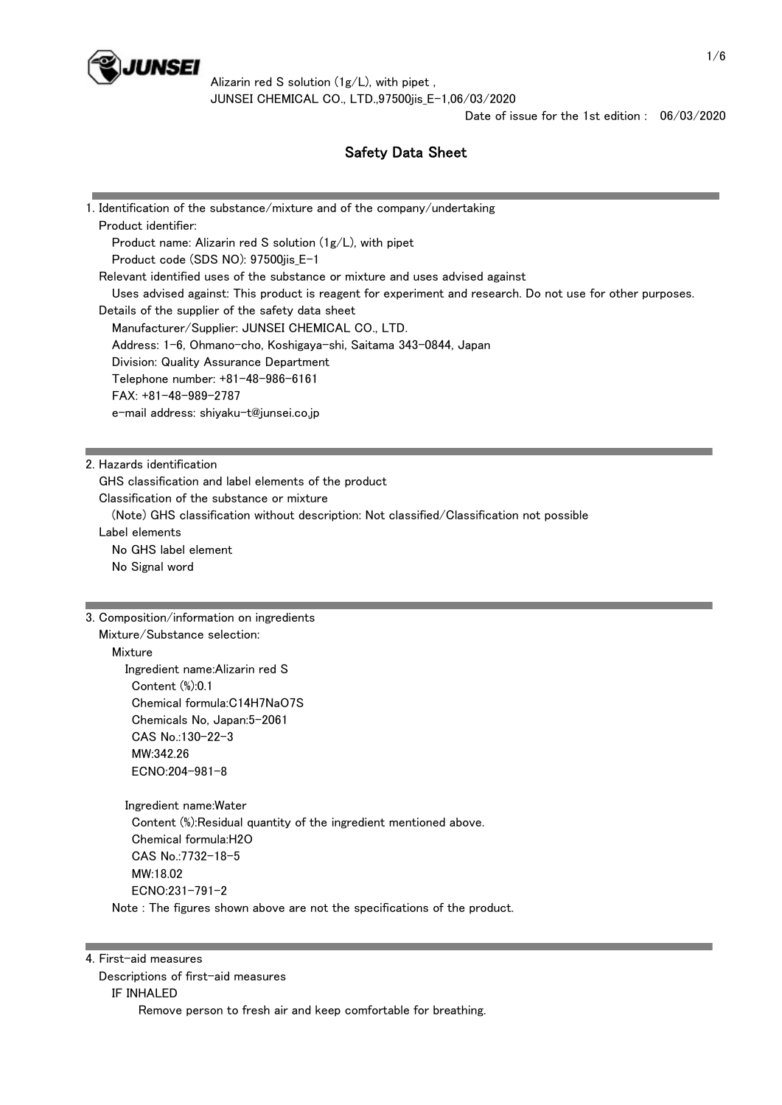

Date of issue for the 1st edition : 06/03/2020

# Safety Data Sheet

| 1. Identification of the substance/mixture and of the company/undertaking                                 |
|-----------------------------------------------------------------------------------------------------------|
| Product identifier:                                                                                       |
| Product name: Alizarin red S solution (1g/L), with pipet                                                  |
| Product code (SDS NO): 97500jis_E-1                                                                       |
| Relevant identified uses of the substance or mixture and uses advised against                             |
| Uses advised against: This product is reagent for experiment and research. Do not use for other purposes. |
| Details of the supplier of the safety data sheet                                                          |
| Manufacturer/Supplier: JUNSEI CHEMICAL CO., LTD.                                                          |
| Address: 1-6, Ohmano-cho, Koshigaya-shi, Saitama 343-0844, Japan                                          |
| Division: Quality Assurance Department                                                                    |
| Telephone number: +81-48-986-6161                                                                         |
| FAX: +81-48-989-2787                                                                                      |
| e-mail address: shiyaku-t@junsei.co.jp                                                                    |
|                                                                                                           |
| 2. Hazards identification                                                                                 |
| GHS classification and label elements of the product                                                      |
| Classification of the substance or mixture                                                                |
| (Note) GHS classification without description: Not classified/Classification not possible                 |
| Label elements                                                                                            |
| No GHS label element                                                                                      |
| No Signal word                                                                                            |
|                                                                                                           |
|                                                                                                           |
|                                                                                                           |
| 3. Composition/information on ingredients<br>Mixture/Substance selection:                                 |
| Mixture                                                                                                   |
| Ingredient name: Alizarin red S                                                                           |
| Content (%):0.1                                                                                           |
| Chemical formula:C14H7NaO7S                                                                               |
| Chemicals No, Japan:5-2061                                                                                |
| CAS No.:130-22-3                                                                                          |
| MW:342.26                                                                                                 |
| ECNO:204-981-8                                                                                            |
| Ingredient name: Water                                                                                    |
| Content (%):Residual quantity of the ingredient mentioned above.                                          |
| Chemical formula:H2O                                                                                      |
| CAS No.:7732-18-5                                                                                         |
| MW:18.02                                                                                                  |
| ECNO:231-791-2                                                                                            |
| Note: The figures shown above are not the specifications of the product.                                  |
|                                                                                                           |

 Descriptions of first-aid measures IF INHALED Remove person to fresh air and keep comfortable for breathing.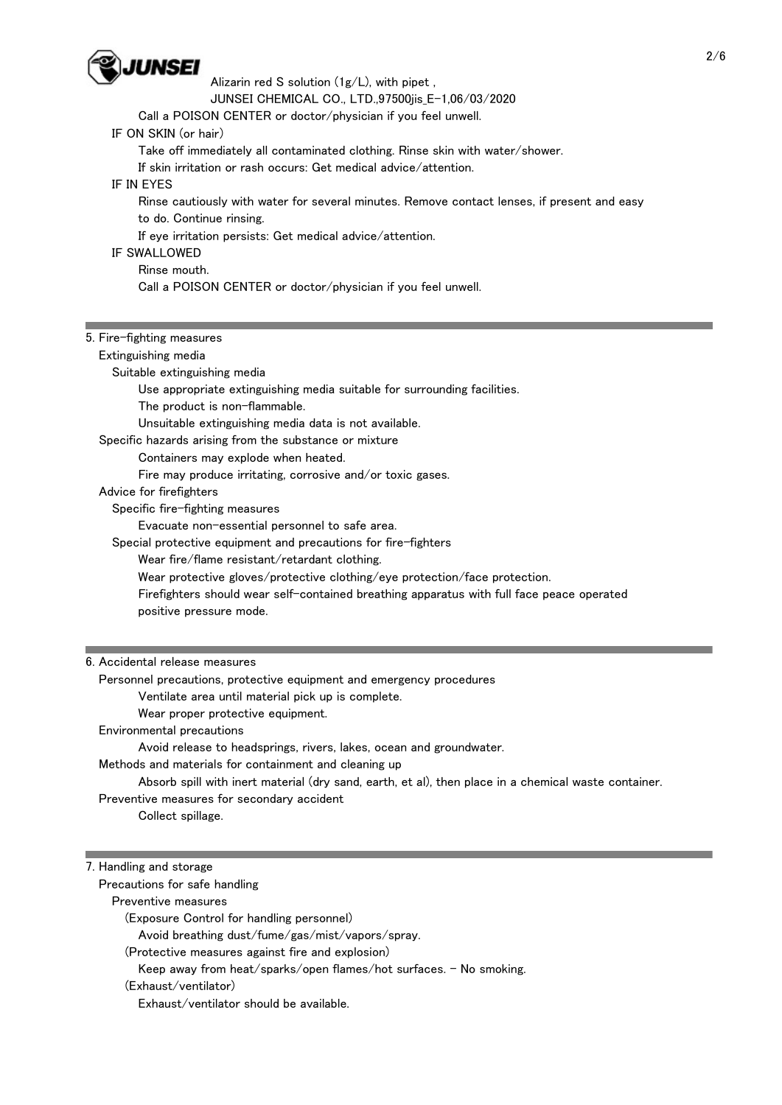

Alizarin red S solution (1g/L), with pipet ,

JUNSEI CHEMICAL CO., LTD.,97500jis\_E-1,06/03/2020

Call a POISON CENTER or doctor/physician if you feel unwell.

#### IF ON SKIN (or hair)

Take off immediately all contaminated clothing. Rinse skin with water/shower.

If skin irritation or rash occurs: Get medical advice/attention.

## IF IN EYES

Rinse cautiously with water for several minutes. Remove contact lenses, if present and easy

to do. Continue rinsing.

If eye irritation persists: Get medical advice/attention.

## IF SWALLOWED

Rinse mouth.

Call a POISON CENTER or doctor/physician if you feel unwell.

#### 5. Fire-fighting measures

#### Extinguishing media

Suitable extinguishing media

Use appropriate extinguishing media suitable for surrounding facilities.

The product is non-flammable.

Unsuitable extinguishing media data is not available.

Specific hazards arising from the substance or mixture

Containers may explode when heated.

Fire may produce irritating, corrosive and/or toxic gases.

Advice for firefighters

Specific fire-fighting measures

Evacuate non-essential personnel to safe area.

Special protective equipment and precautions for fire-fighters

Wear fire/flame resistant/retardant clothing.

Wear protective gloves/protective clothing/eye protection/face protection.

 Firefighters should wear self-contained breathing apparatus with full face peace operated positive pressure mode.

#### 6. Accidental release measures

Personnel precautions, protective equipment and emergency procedures

Ventilate area until material pick up is complete.

Wear proper protective equipment.

Environmental precautions

Avoid release to headsprings, rivers, lakes, ocean and groundwater.

Methods and materials for containment and cleaning up

Absorb spill with inert material (dry sand, earth, et al), then place in a chemical waste container.

Preventive measures for secondary accident

Collect spillage.

#### 7. Handling and storage

Precautions for safe handling

Preventive measures

(Exposure Control for handling personnel)

Avoid breathing dust/fume/gas/mist/vapors/spray.

(Protective measures against fire and explosion)

Keep away from heat/sparks/open flames/hot surfaces. - No smoking.

(Exhaust/ventilator)

Exhaust/ventilator should be available.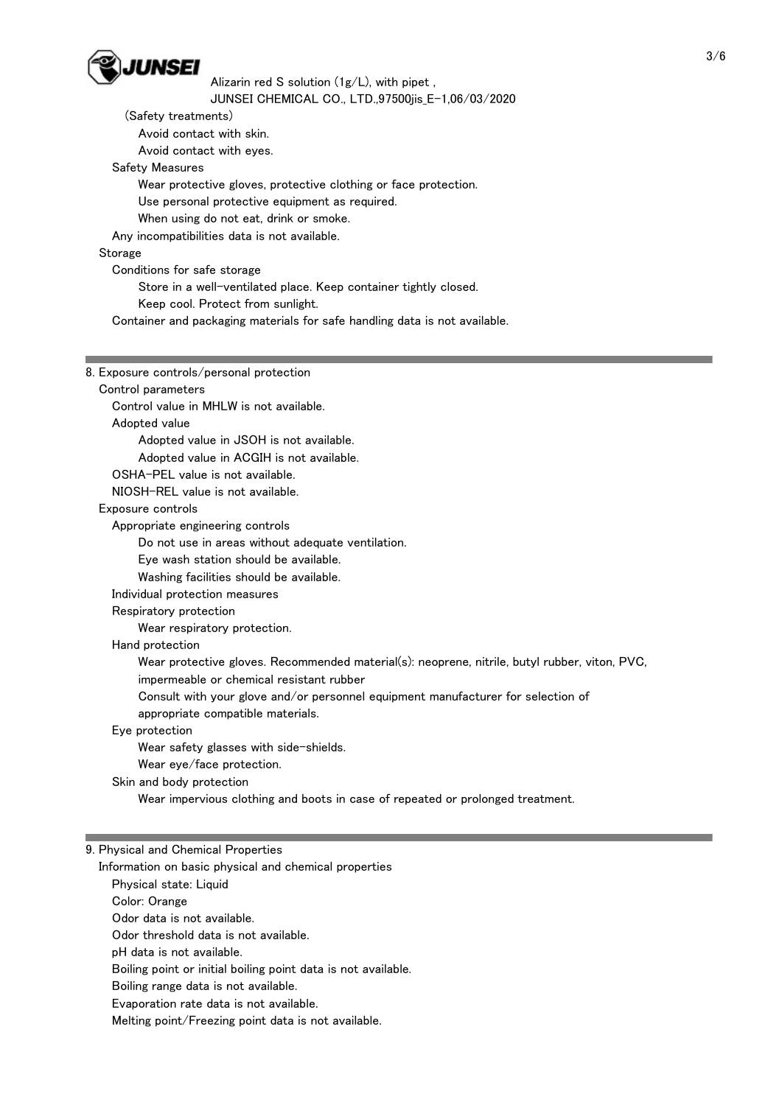

Alizarin red S solution (1g/L), with pipet ,

JUNSEI CHEMICAL CO., LTD.,97500jis\_E-1,06/03/2020

(Safety treatments)

Avoid contact with skin.

Avoid contact with eyes.

Safety Measures

Wear protective gloves, protective clothing or face protection.

Use personal protective equipment as required.

When using do not eat, drink or smoke.

Any incompatibilities data is not available.

Storage

 Conditions for safe storage Store in a well-ventilated place. Keep container tightly closed. Keep cool. Protect from sunlight.

Container and packaging materials for safe handling data is not available.

8. Exposure controls/personal protection

Control parameters

Control value in MHLW is not available.

Adopted value

Adopted value in JSOH is not available.

Adopted value in ACGIH is not available.

OSHA-PEL value is not available.

NIOSH-REL value is not available.

Exposure controls

Appropriate engineering controls

Do not use in areas without adequate ventilation.

Eye wash station should be available.

Washing facilities should be available.

Individual protection measures

## Respiratory protection

Wear respiratory protection.

## Hand protection

Wear protective gloves. Recommended material(s): neoprene, nitrile, butyl rubber, viton, PVC,

impermeable or chemical resistant rubber

Consult with your glove and/or personnel equipment manufacturer for selection of

appropriate compatible materials.

## Eye protection

Wear safety glasses with side-shields.

Wear eye/face protection.

Skin and body protection

Wear impervious clothing and boots in case of repeated or prolonged treatment.

## 9. Physical and Chemical Properties

Information on basic physical and chemical properties

Physical state: Liquid

Color: Orange

Odor data is not available.

Odor threshold data is not available.

pH data is not available.

Boiling point or initial boiling point data is not available.

Boiling range data is not available.

Evaporation rate data is not available.

Melting point/Freezing point data is not available.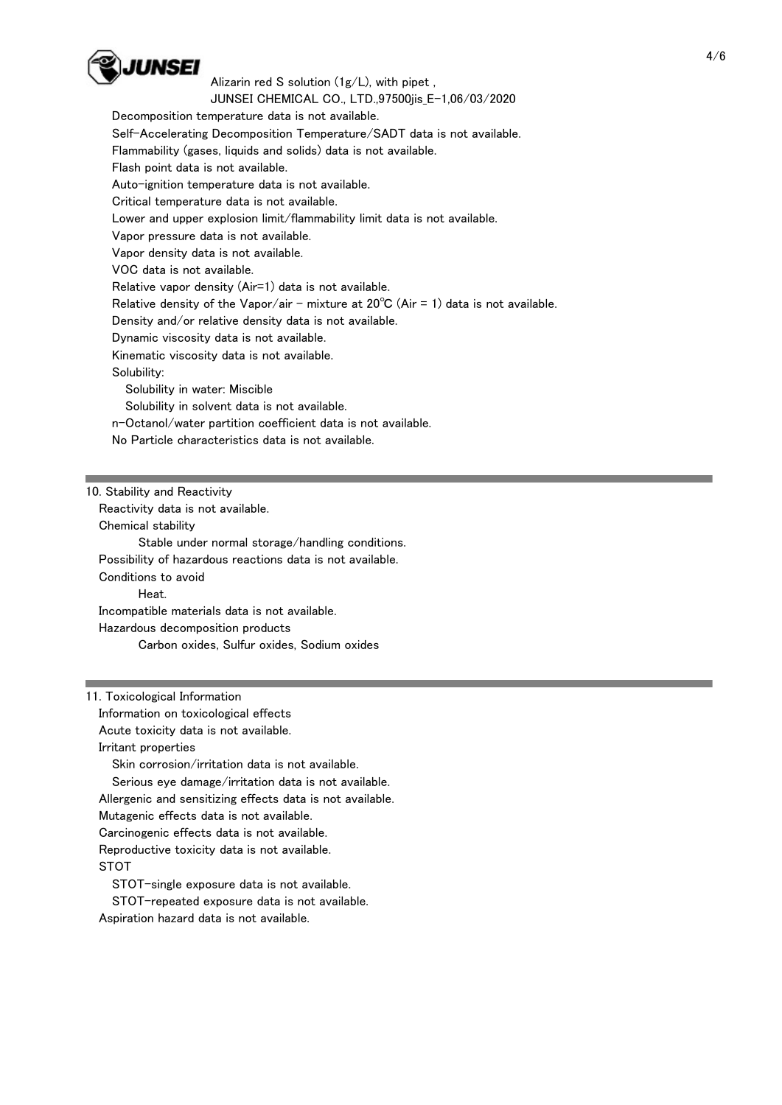

 Decomposition temperature data is not available. Self-Accelerating Decomposition Temperature/SADT data is not available. Flammability (gases, liquids and solids) data is not available. Flash point data is not available. Auto-ignition temperature data is not available. Critical temperature data is not available. Lower and upper explosion limit/flammability limit data is not available. Vapor pressure data is not available. Vapor density data is not available. VOC data is not available. Relative vapor density (Air=1) data is not available. Relative density of the Vapor/air - mixture at  $20^{\circ}C$  (Air = 1) data is not available. Density and/or relative density data is not available. Dynamic viscosity data is not available. Kinematic viscosity data is not available. Solubility: Solubility in water: Miscible Solubility in solvent data is not available. n-Octanol/water partition coefficient data is not available. No Particle characteristics data is not available.

10. Stability and Reactivity

Reactivity data is not available.

Chemical stability

Stable under normal storage/handling conditions.

Possibility of hazardous reactions data is not available.

Conditions to avoid

Heat.

Incompatible materials data is not available.

Hazardous decomposition products

Carbon oxides, Sulfur oxides, Sodium oxides

11. Toxicological Information

Information on toxicological effects

Acute toxicity data is not available.

Irritant properties

Skin corrosion/irritation data is not available.

Serious eye damage/irritation data is not available.

Allergenic and sensitizing effects data is not available.

Mutagenic effects data is not available.

Carcinogenic effects data is not available.

Reproductive toxicity data is not available.

STOT

STOT-single exposure data is not available.

STOT-repeated exposure data is not available.

Aspiration hazard data is not available.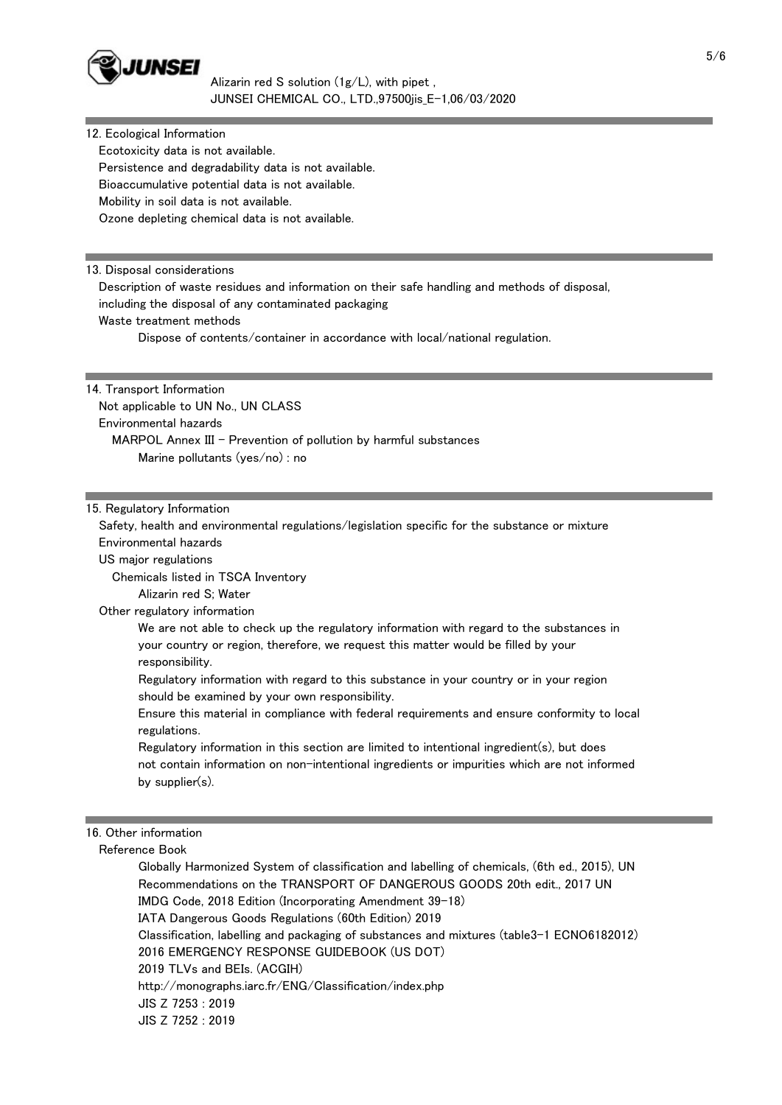

| 12. Ecological Information                                                                                                                                                   |  |
|------------------------------------------------------------------------------------------------------------------------------------------------------------------------------|--|
| Ecotoxicity data is not available.                                                                                                                                           |  |
| Persistence and degradability data is not available.                                                                                                                         |  |
| Bioaccumulative potential data is not available.                                                                                                                             |  |
| Mobility in soil data is not available.                                                                                                                                      |  |
| Ozone depleting chemical data is not available.                                                                                                                              |  |
|                                                                                                                                                                              |  |
|                                                                                                                                                                              |  |
| 13. Disposal considerations                                                                                                                                                  |  |
| Description of waste residues and information on their safe handling and methods of disposal,                                                                                |  |
| including the disposal of any contaminated packaging                                                                                                                         |  |
| Waste treatment methods                                                                                                                                                      |  |
| Dispose of contents/container in accordance with local/national regulation.                                                                                                  |  |
|                                                                                                                                                                              |  |
| 14. Transport Information                                                                                                                                                    |  |
| Not applicable to UN No., UN CLASS                                                                                                                                           |  |
| Environmental hazards                                                                                                                                                        |  |
| MARPOL Annex III - Prevention of pollution by harmful substances                                                                                                             |  |
| Marine pollutants (yes/no) : no                                                                                                                                              |  |
|                                                                                                                                                                              |  |
| 15. Regulatory Information                                                                                                                                                   |  |
| Safety, health and environmental regulations/legislation specific for the substance or mixture                                                                               |  |
| Environmental hazards                                                                                                                                                        |  |
| US major regulations                                                                                                                                                         |  |
| Chemicals listed in TSCA Inventory                                                                                                                                           |  |
| Alizarin red S; Water                                                                                                                                                        |  |
| Other regulatory information                                                                                                                                                 |  |
| We are not able to check up the regulatory information with regard to the substances in<br>your country or region, therefore, we request this matter would be filled by your |  |
| responsibility.                                                                                                                                                              |  |
| Regulatory information with regard to this substance in your country or in your region<br>should be examined by your own responsibility.                                     |  |
| Ensure this material in compliance with federal requirements and ensure conformity to local<br>regulations.                                                                  |  |
| Regulatory information in this section are limited to intentional ingredient(s), but does                                                                                    |  |
| not contain information on non-intentional ingredients or impurities which are not informed                                                                                  |  |
| by supplier(s).                                                                                                                                                              |  |
|                                                                                                                                                                              |  |
|                                                                                                                                                                              |  |
| 16. Other information                                                                                                                                                        |  |
| Reference Book                                                                                                                                                               |  |
| Globally Harmonized System of classification and labelling of chemicals, (6th ed., 2015), UN                                                                                 |  |
| Recommendations on the TRANSPORT OF DANGEROUS GOODS 20th edit., 2017 UN                                                                                                      |  |
| IMDG Code, 2018 Edition (Incorporating Amendment 39-18)                                                                                                                      |  |
| IATA Dangerous Goods Regulations (60th Edition) 2019                                                                                                                         |  |

Classification, labelling and packaging of substances and mixtures (table3-1 ECNO6182012)

2016 EMERGENCY RESPONSE GUIDEBOOK (US DOT)

2019 TLVs and BEIs. (ACGIH)

http://monographs.iarc.fr/ENG/Classification/index.php

JIS Z 7253 : 2019

JIS Z 7252 : 2019